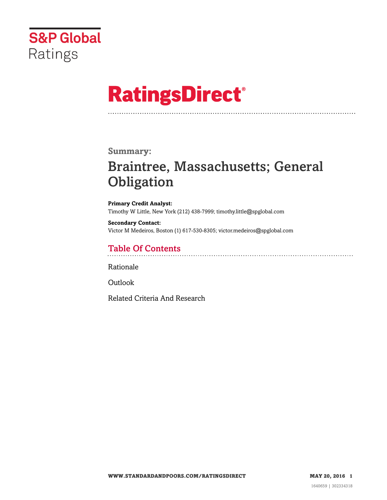

# **RatingsDirect®**

### **Summary:**

# Braintree, Massachusetts; General **Obligation**

**Primary Credit Analyst:** Timothy W Little, New York (212) 438-7999; timothy.little@spglobal.com

**Secondary Contact:** Victor M Medeiros, Boston (1) 617-530-8305; victor.medeiros@spglobal.com

# Table Of Contents

[Rationale](#page-1-0)

[Outlook](#page-4-0)

[Related Criteria And Research](#page-4-1)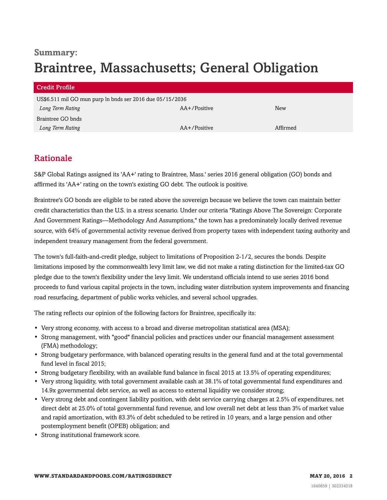# **Summary:** Braintree, Massachusetts; General Obligation

| Credit Profile                                            |              |          |
|-----------------------------------------------------------|--------------|----------|
| US\$6.511 mil GO mun purp ln bnds ser 2016 due 05/15/2036 |              |          |
| Long Term Rating                                          | AA+/Positive | New      |
| Braintree GO bnds                                         |              |          |
| Long Term Rating                                          | AA+/Positive | Affirmed |

# <span id="page-1-0"></span>Rationale

S&P Global Ratings assigned its 'AA+' rating to Braintree, Mass.' series 2016 general obligation (GO) bonds and affirmed its 'AA+' rating on the town's existing GO debt. The outlook is positive.

Braintree's GO bonds are eligible to be rated above the sovereign because we believe the town can maintain better credit characteristics than the U.S. in a stress scenario. Under our criteria "Ratings Above The Sovereign: Corporate And Government Ratings—Methodology And Assumptions," the town has a predominately locally derived revenue source, with 64% of governmental activity revenue derived from property taxes with independent taxing authority and independent treasury management from the federal government.

The town's full-faith-and-credit pledge, subject to limitations of Proposition 2-1/2, secures the bonds. Despite limitations imposed by the commonwealth levy limit law, we did not make a rating distinction for the limited-tax GO pledge due to the town's flexibility under the levy limit. We understand officials intend to use series 2016 bond proceeds to fund various capital projects in the town, including water distribution system improvements and financing road resurfacing, department of public works vehicles, and several school upgrades.

The rating reflects our opinion of the following factors for Braintree, specifically its:

- Very strong economy, with access to a broad and diverse metropolitan statistical area (MSA);
- Strong management, with "good" financial policies and practices under our financial management assessment (FMA) methodology;
- Strong budgetary performance, with balanced operating results in the general fund and at the total governmental fund level in fiscal 2015;
- Strong budgetary flexibility, with an available fund balance in fiscal 2015 at 13.5% of operating expenditures;
- Very strong liquidity, with total government available cash at 38.1% of total governmental fund expenditures and 14.9x governmental debt service, as well as access to external liquidity we consider strong;
- Very strong debt and contingent liability position, with debt service carrying charges at 2.5% of expenditures, net direct debt at 25.0% of total governmental fund revenue, and low overall net debt at less than 3% of market value and rapid amortization, with 83.3% of debt scheduled to be retired in 10 years, and a large pension and other postemployment benefit (OPEB) obligation; and
- Strong institutional framework score.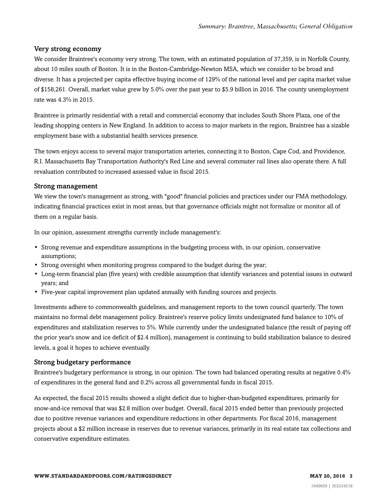#### Very strong economy

We consider Braintree's economy very strong. The town, with an estimated population of 37,359, is in Norfolk County, about 10 miles south of Boston. It is in the Boston-Cambridge-Newton MSA, which we consider to be broad and diverse. It has a projected per capita effective buying income of 129% of the national level and per capita market value of \$158,261. Overall, market value grew by 5.0% over the past year to \$5.9 billion in 2016. The county unemployment rate was 4.3% in 2015.

Braintree is primarily residential with a retail and commercial economy that includes South Shore Plaza, one of the leading shopping centers in New England. In addition to access to major markets in the region, Braintree has a sizable employment base with a substantial health services presence.

The town enjoys access to several major transportation arteries, connecting it to Boston, Cape Cod, and Providence, R.I. Massachusetts Bay Transportation Authority's Red Line and several commuter rail lines also operate there. A full revaluation contributed to increased assessed value in fiscal 2015.

#### Strong management

We view the town's management as strong, with "good" financial policies and practices under our FMA methodology, indicating financial practices exist in most areas, but that governance officials might not formalize or monitor all of them on a regular basis.

In our opinion, assessment strengths currently include management's:

- Strong revenue and expenditure assumptions in the budgeting process with, in our opinion, conservative assumptions;
- Strong oversight when monitoring progress compared to the budget during the year;
- Long-term financial plan (five years) with credible assumption that identify variances and potential issues in outward years; and
- Five-year capital improvement plan updated annually with funding sources and projects.

Investments adhere to commonwealth guidelines, and management reports to the town council quarterly. The town maintains no formal debt management policy. Braintree's reserve policy limits undesignated fund balance to 10% of expenditures and stabilization reserves to 5%. While currently under the undesignated balance (the result of paying off the prior year's snow and ice deficit of \$2.4 million), management is continuing to build stabilization balance to desired levels, a goal it hopes to achieve eventually.

#### Strong budgetary performance

Braintree's budgetary performance is strong, in our opinion. The town had balanced operating results at negative 0.4% of expenditures in the general fund and 0.2% across all governmental funds in fiscal 2015.

As expected, the fiscal 2015 results showed a slight deficit due to higher-than-budgeted expenditures, primarily for snow-and-ice removal that was \$2.8 million over budget. Overall, fiscal 2015 ended better than previously projected due to positive revenue variances and expenditure reductions in other departments. For fiscal 2016, management projects about a \$2 million increase in reserves due to revenue variances, primarily in its real estate tax collections and conservative expenditure estimates.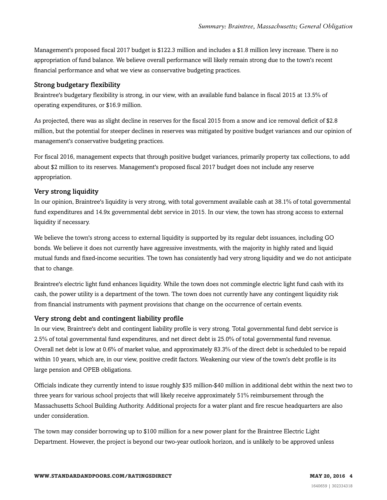Management's proposed fiscal 2017 budget is \$122.3 million and includes a \$1.8 million levy increase. There is no appropriation of fund balance. We believe overall performance will likely remain strong due to the town's recent financial performance and what we view as conservative budgeting practices.

#### Strong budgetary flexibility

Braintree's budgetary flexibility is strong, in our view, with an available fund balance in fiscal 2015 at 13.5% of operating expenditures, or \$16.9 million.

As projected, there was as slight decline in reserves for the fiscal 2015 from a snow and ice removal deficit of \$2.8 million, but the potential for steeper declines in reserves was mitigated by positive budget variances and our opinion of management's conservative budgeting practices.

For fiscal 2016, management expects that through positive budget variances, primarily property tax collections, to add about \$2 million to its reserves. Management's proposed fiscal 2017 budget does not include any reserve appropriation.

#### Very strong liquidity

In our opinion, Braintree's liquidity is very strong, with total government available cash at 38.1% of total governmental fund expenditures and 14.9x governmental debt service in 2015. In our view, the town has strong access to external liquidity if necessary.

We believe the town's strong access to external liquidity is supported by its regular debt issuances, including GO bonds. We believe it does not currently have aggressive investments, with the majority in highly rated and liquid mutual funds and fixed-income securities. The town has consistently had very strong liquidity and we do not anticipate that to change.

Braintree's electric light fund enhances liquidity. While the town does not commingle electric light fund cash with its cash, the power utility is a department of the town. The town does not currently have any contingent liquidity risk from financial instruments with payment provisions that change on the occurrence of certain events.

#### Very strong debt and contingent liability profile

In our view, Braintree's debt and contingent liability profile is very strong. Total governmental fund debt service is 2.5% of total governmental fund expenditures, and net direct debt is 25.0% of total governmental fund revenue. Overall net debt is low at 0.6% of market value, and approximately 83.3% of the direct debt is scheduled to be repaid within 10 years, which are, in our view, positive credit factors. Weakening our view of the town's debt profile is its large pension and OPEB obligations.

Officials indicate they currently intend to issue roughly \$35 million-\$40 million in additional debt within the next two to three years for various school projects that will likely receive approximately 51% reimbursement through the Massachusetts School Building Authority. Additional projects for a water plant and fire rescue headquarters are also under consideration.

The town may consider borrowing up to \$100 million for a new power plant for the Braintree Electric Light Department. However, the project is beyond our two-year outlook horizon, and is unlikely to be approved unless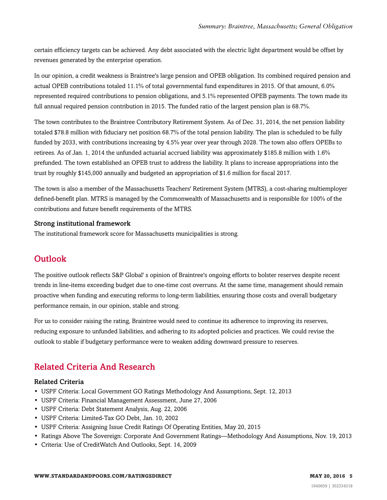certain efficiency targets can be achieved. Any debt associated with the electric light department would be offset by revenues generated by the enterprise operation.

In our opinion, a credit weakness is Braintree's large pension and OPEB obligation. Its combined required pension and actual OPEB contributions totaled 11.1% of total governmental fund expenditures in 2015. Of that amount, 6.0% represented required contributions to pension obligations, and 5.1% represented OPEB payments. The town made its full annual required pension contribution in 2015. The funded ratio of the largest pension plan is 68.7%.

The town contributes to the Braintree Contributory Retirement System. As of Dec. 31, 2014, the net pension liability totaled \$78.8 million with fiduciary net position 68.7% of the total pension liability. The plan is scheduled to be fully funded by 2033, with contributions increasing by 4.5% year over year through 2028. The town also offers OPEBs to retirees. As of Jan. 1, 2014 the unfunded actuarial accrued liability was approximately \$185.8 million with 1.6% prefunded. The town established an OPEB trust to address the liability. It plans to increase appropriations into the trust by roughly \$145,000 annually and budgeted an appropriation of \$1.6 million for fiscal 2017.

The town is also a member of the Massachusetts Teachers' Retirement System (MTRS), a cost-sharing multiemployer defined-benefit plan. MTRS is managed by the Commonwealth of Massachusetts and is responsible for 100% of the contributions and future benefit requirements of the MTRS.

#### Strong institutional framework

<span id="page-4-0"></span>The institutional framework score for Massachusetts municipalities is strong.

### **Outlook**

The positive outlook reflects S&P Global' s opinion of Braintree's ongoing efforts to bolster reserves despite recent trends in line-items exceeding budget due to one-time cost overruns. At the same time, management should remain proactive when funding and executing reforms to long-term liabilities, ensuring those costs and overall budgetary performance remain, in our opinion, stable and strong.

For us to consider raising the rating, Braintree would need to continue its adherence to improving its reserves, reducing exposure to unfunded liabilities, and adhering to its adopted policies and practices. We could revise the outlook to stable if budgetary performance were to weaken adding downward pressure to reserves.

## <span id="page-4-1"></span>Related Criteria And Research

#### Related Criteria

- USPF Criteria: Local Government GO Ratings Methodology And Assumptions, Sept. 12, 2013
- USPF Criteria: Financial Management Assessment, June 27, 2006
- USPF Criteria: Debt Statement Analysis, Aug. 22, 2006
- USPF Criteria: Limited-Tax GO Debt, Jan. 10, 2002
- USPF Criteria: Assigning Issue Credit Ratings Of Operating Entities, May 20, 2015
- Ratings Above The Sovereign: Corporate And Government Ratings—Methodology And Assumptions, Nov. 19, 2013
- Criteria: Use of CreditWatch And Outlooks, Sept. 14, 2009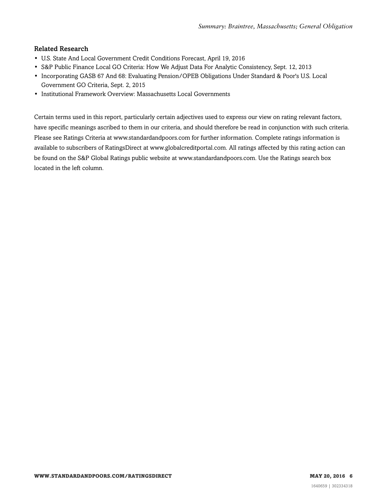#### Related Research

- U.S. State And Local Government Credit Conditions Forecast, April 19, 2016
- S&P Public Finance Local GO Criteria: How We Adjust Data For Analytic Consistency, Sept. 12, 2013
- Incorporating GASB 67 And 68: Evaluating Pension/OPEB Obligations Under Standard & Poor's U.S. Local Government GO Criteria, Sept. 2, 2015
- Institutional Framework Overview: Massachusetts Local Governments

Certain terms used in this report, particularly certain adjectives used to express our view on rating relevant factors, have specific meanings ascribed to them in our criteria, and should therefore be read in conjunction with such criteria. Please see Ratings Criteria at www.standardandpoors.com for further information. Complete ratings information is available to subscribers of RatingsDirect at www.globalcreditportal.com. All ratings affected by this rating action can be found on the S&P Global Ratings public website at www.standardandpoors.com. Use the Ratings search box located in the left column.